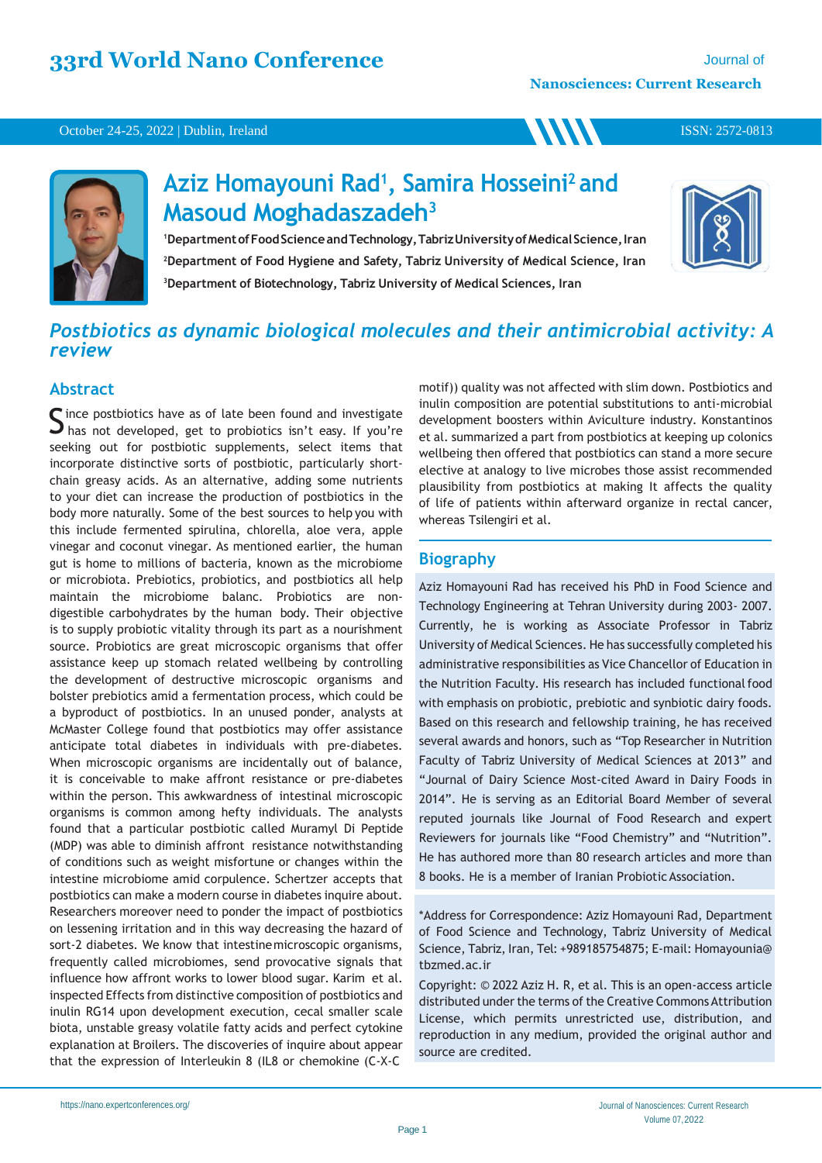**WW** 

#### October 24-25, 2022 | Dublin, Ireland



# **Aziz Homayouni Rad<sup>1</sup> , Samira Hosseini<sup>2</sup>and Masoud Moghadaszadeh<sup>3</sup>**

<sup>1</sup>Department of Food Science and Technology, Tabriz University of Medical Science, Iran **<sup>2</sup>Department of Food Hygiene and Safety, Tabriz University of Medical Science, Iran <sup>3</sup>Department of Biotechnology, Tabriz University of Medical Sciences, Iran**



ISSN: 2572-0813

## *Postbiotics as dynamic biological molecules and their antimicrobial activity: A review*

## **Abstract**

Since postbiotics have as of late been found and investigate<br>S has not developed, get to probiotics isn't easy. If you're  $\Box$  has not developed, get to probiotics isn't easy. If you're seeking out for postbiotic supplements, select items that incorporate distinctive sorts of postbiotic, particularly shortchain greasy acids. As an alternative, adding some nutrients to your diet can increase the production of postbiotics in the body more naturally. Some of the best sources to help you with this include fermented spirulina, chlorella, aloe vera, apple vinegar and coconut vinegar. As mentioned earlier, the human gut is home to millions of bacteria, known as the microbiome or microbiota. Prebiotics, probiotics, and postbiotics all help maintain the microbiome balanc. Probiotics are nondigestible carbohydrates by the human body. Their objective is to supply probiotic vitality through its part as a nourishment source. Probiotics are great microscopic organisms that offer assistance keep up stomach related wellbeing by controlling the development of destructive microscopic organisms and bolster prebiotics amid a fermentation process, which could be a byproduct of postbiotics. In an unused ponder, analysts at McMaster College found that postbiotics may offer assistance anticipate total diabetes in individuals with pre-diabetes. When microscopic organisms are incidentally out of balance, it is conceivable to make affront resistance or pre-diabetes within the person. This awkwardness of intestinal microscopic organisms is common among hefty individuals. The analysts found that a particular postbiotic called Muramyl Di Peptide (MDP) was able to diminish affront resistance notwithstanding of conditions such as weight misfortune or changes within the intestine microbiome amid corpulence. Schertzer accepts that postbiotics can make a modern course in diabetes inquire about. Researchers moreover need to ponder the impact of postbiotics on lessening irritation and in this way decreasing the hazard of sort-2 diabetes. We know that intestinemicroscopic organisms, frequently called microbiomes, send provocative signals that influence how affront works to lower blood sugar. Karim et al. inspected Effects from distinctive composition of postbiotics and inulin RG14 upon development execution, cecal smaller scale biota, unstable greasy volatile fatty acids and perfect cytokine explanation at Broilers. The discoveries of inquire about appear that the expression of Interleukin 8 (IL8 or chemokine (C-X-C

motif)) quality was not affected with slim down. Postbiotics and inulin composition are potential substitutions to anti-microbial development boosters within Aviculture industry. Konstantinos et al. summarized a part from postbiotics at keeping up colonics wellbeing then offered that postbiotics can stand a more secure elective at analogy to live microbes those assist recommended plausibility from postbiotics at making It affects the quality of life of patients within afterward organize in rectal cancer, whereas Tsilengiri et al.

## **Biography**

Aziz Homayouni Rad has received his PhD in Food Science and Technology Engineering at Tehran University during 2003- 2007. Currently, he is working as Associate Professor in Tabriz University of Medical Sciences. He has successfully completed his administrative responsibilities as Vice Chancellor of Education in the Nutrition Faculty. His research has included functional food with emphasis on probiotic, prebiotic and synbiotic dairy foods. Based on this research and fellowship training, he has received several awards and honors, such as "Top Researcher in Nutrition Faculty of Tabriz University of Medical Sciences at 2013" and "Journal of Dairy Science Most-cited Award in Dairy Foods in 2014". He is serving as an Editorial Board Member of several reputed journals like Journal of Food Research and expert Reviewers for journals like "Food Chemistry" and "Nutrition". He has authored more than 80 research articles and more than 8 books. He is a member of Iranian Probiotic Association.

\*Address for Correspondence: Aziz Homayouni Rad, Department of Food Science and Technology, Tabriz University of Medical Science, Tabriz, Iran, Tel: +989185754875; E-mail: Homayounia@ tbzmed.ac.ir

Copyright: © 2022 Aziz H. R, et al. This is an open-access article distributed under the terms of the Creative Commons Attribution License, which permits unrestricted use, distribution, and reproduction in any medium, provided the original author and source are credited.